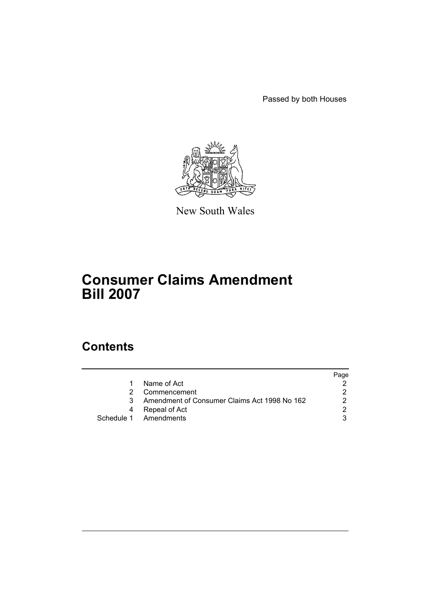Passed by both Houses



New South Wales

# **Consumer Claims Amendment Bill 2007**

# **Contents**

|    |                                              | Page |
|----|----------------------------------------------|------|
|    | Name of Act                                  |      |
|    | Commencement                                 |      |
| 3. | Amendment of Consumer Claims Act 1998 No 162 |      |
|    | Repeal of Act                                |      |
|    | Schedule 1 Amendments                        |      |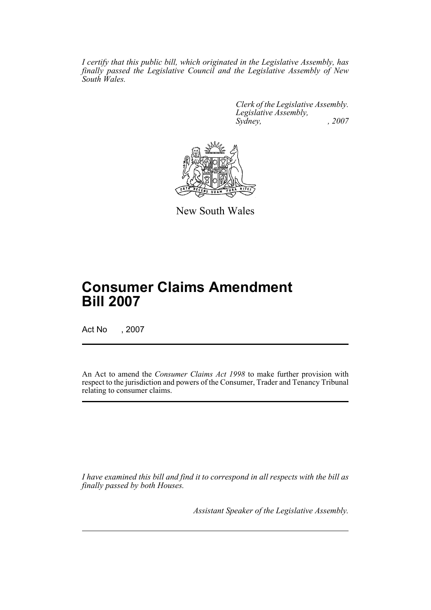*I certify that this public bill, which originated in the Legislative Assembly, has finally passed the Legislative Council and the Legislative Assembly of New South Wales.*

> *Clerk of the Legislative Assembly. Legislative Assembly, Sydney, , 2007*



New South Wales

# **Consumer Claims Amendment Bill 2007**

Act No , 2007

An Act to amend the *Consumer Claims Act 1998* to make further provision with respect to the jurisdiction and powers of the Consumer, Trader and Tenancy Tribunal relating to consumer claims.

*I have examined this bill and find it to correspond in all respects with the bill as finally passed by both Houses.*

*Assistant Speaker of the Legislative Assembly.*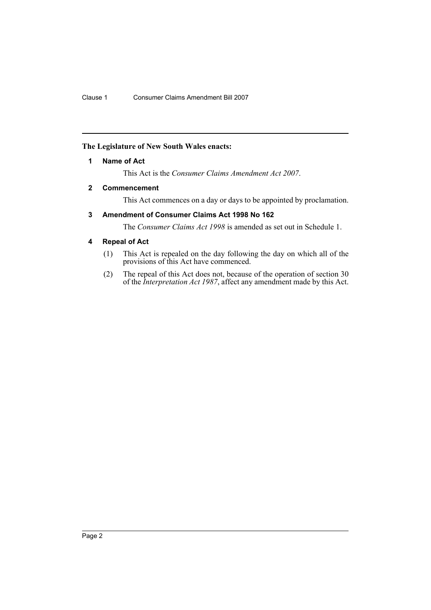# <span id="page-2-0"></span>**The Legislature of New South Wales enacts:**

# **1 Name of Act**

This Act is the *Consumer Claims Amendment Act 2007*.

# <span id="page-2-1"></span>**2 Commencement**

This Act commences on a day or days to be appointed by proclamation.

# <span id="page-2-2"></span>**3 Amendment of Consumer Claims Act 1998 No 162**

The *Consumer Claims Act 1998* is amended as set out in Schedule 1.

# <span id="page-2-3"></span>**4 Repeal of Act**

- (1) This Act is repealed on the day following the day on which all of the provisions of this Act have commenced.
- (2) The repeal of this Act does not, because of the operation of section 30 of the *Interpretation Act 1987*, affect any amendment made by this Act.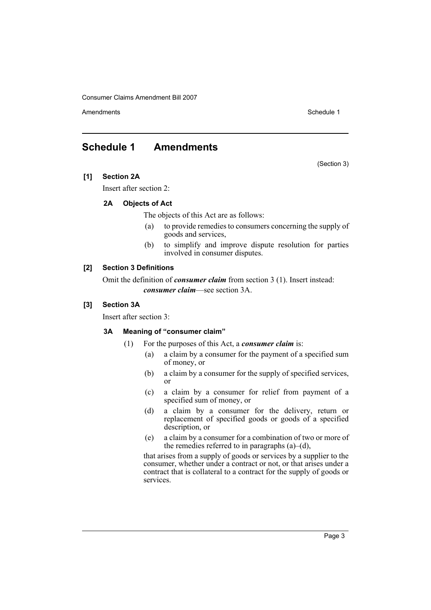Amendments **Schedule 1** and the set of the set of the set of the set of the set of the set of the set of the set of the set of the set of the set of the set of the set of the set of the set of the set of the set of the set

# <span id="page-3-0"></span>**Schedule 1 Amendments**

(Section 3)

# **[1] Section 2A**

Insert after section 2:

# **2A Objects of Act**

The objects of this Act are as follows:

- (a) to provide remedies to consumers concerning the supply of goods and services,
- (b) to simplify and improve dispute resolution for parties involved in consumer disputes.

# **[2] Section 3 Definitions**

Omit the definition of *consumer claim* from section 3 (1). Insert instead: *consumer claim*—see section 3A.

# **[3] Section 3A**

Insert after section 3:

# **3A Meaning of "consumer claim"**

- (1) For the purposes of this Act, a *consumer claim* is:
	- (a) a claim by a consumer for the payment of a specified sum of money, or
	- (b) a claim by a consumer for the supply of specified services, or
	- (c) a claim by a consumer for relief from payment of a specified sum of money, or
	- (d) a claim by a consumer for the delivery, return or replacement of specified goods or goods of a specified description, or
	- (e) a claim by a consumer for a combination of two or more of the remedies referred to in paragraphs  $(a)$ – $(d)$ ,

that arises from a supply of goods or services by a supplier to the consumer, whether under a contract or not, or that arises under a contract that is collateral to a contract for the supply of goods or services.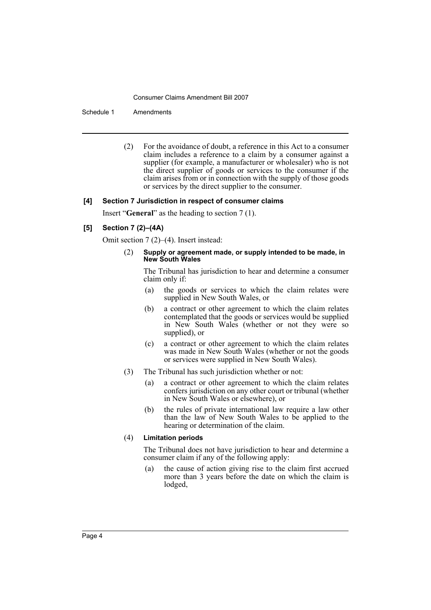Schedule 1 Amendments

(2) For the avoidance of doubt, a reference in this Act to a consumer claim includes a reference to a claim by a consumer against a supplier (for example, a manufacturer or wholesaler) who is not the direct supplier of goods or services to the consumer if the claim arises from or in connection with the supply of those goods or services by the direct supplier to the consumer.

#### **[4] Section 7 Jurisdiction in respect of consumer claims**

Insert "**General**" as the heading to section 7 (1).

### **[5] Section 7 (2)–(4A)**

Omit section 7 (2)–(4). Insert instead:

(2) **Supply or agreement made, or supply intended to be made, in New South Wales**

The Tribunal has jurisdiction to hear and determine a consumer claim only if:

- (a) the goods or services to which the claim relates were supplied in New South Wales, or
- (b) a contract or other agreement to which the claim relates contemplated that the goods or services would be supplied in New South Wales (whether or not they were so supplied), or
- (c) a contract or other agreement to which the claim relates was made in New South Wales (whether or not the goods or services were supplied in New South Wales).
- (3) The Tribunal has such jurisdiction whether or not:
	- (a) a contract or other agreement to which the claim relates confers jurisdiction on any other court or tribunal (whether in New South Wales or elsewhere), or
	- (b) the rules of private international law require a law other than the law of New South Wales to be applied to the hearing or determination of the claim.

# (4) **Limitation periods**

The Tribunal does not have jurisdiction to hear and determine a consumer claim if any of the following apply:

(a) the cause of action giving rise to the claim first accrued more than 3 years before the date on which the claim is lodged,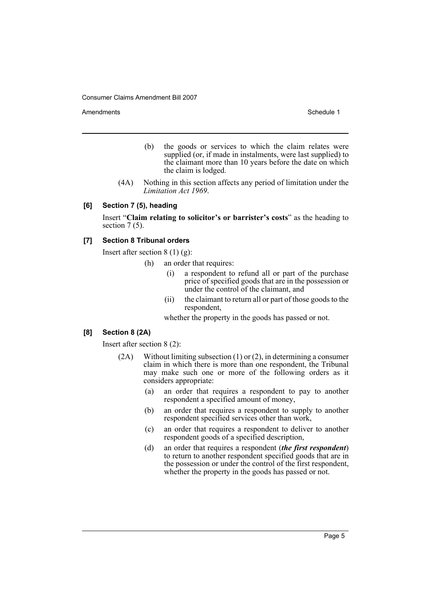Amendments **Amendments** Schedule 1

- (b) the goods or services to which the claim relates were supplied (or, if made in instalments, were last supplied) to the claimant more than 10 years before the date on which the claim is lodged.
- (4A) Nothing in this section affects any period of limitation under the *Limitation Act 1969*.

#### **[6] Section 7 (5), heading**

Insert "**Claim relating to solicitor's or barrister's costs**" as the heading to section  $7(5)$ .

# **[7] Section 8 Tribunal orders**

Insert after section  $8(1)(g)$ :

- (h) an order that requires:
	- (i) a respondent to refund all or part of the purchase price of specified goods that are in the possession or under the control of the claimant, and
	- (ii) the claimant to return all or part of those goods to the respondent,

whether the property in the goods has passed or not.

# **[8] Section 8 (2A)**

Insert after section 8 (2):

- (2A) Without limiting subsection (1) or (2), in determining a consumer claim in which there is more than one respondent, the Tribunal may make such one or more of the following orders as it considers appropriate:
	- (a) an order that requires a respondent to pay to another respondent a specified amount of money,
	- (b) an order that requires a respondent to supply to another respondent specified services other than work,
	- (c) an order that requires a respondent to deliver to another respondent goods of a specified description,
	- (d) an order that requires a respondent (*the first respondent*) to return to another respondent specified goods that are in the possession or under the control of the first respondent, whether the property in the goods has passed or not.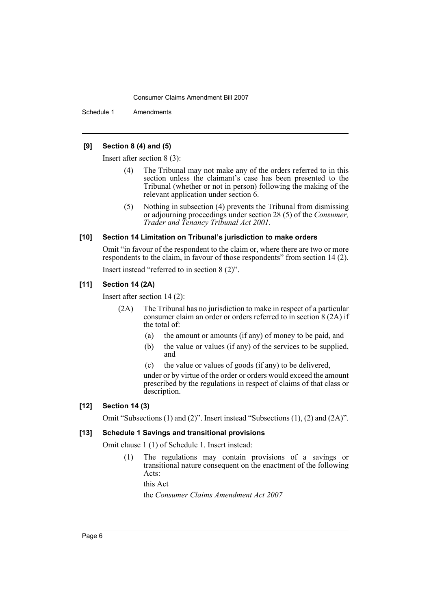Schedule 1 Amendments

# **[9] Section 8 (4) and (5)**

Insert after section 8 (3):

- (4) The Tribunal may not make any of the orders referred to in this section unless the claimant's case has been presented to the Tribunal (whether or not in person) following the making of the relevant application under section 6.
- (5) Nothing in subsection (4) prevents the Tribunal from dismissing or adjourning proceedings under section 28 (5) of the *Consumer, Trader and Tenancy Tribunal Act 2001*.

#### **[10] Section 14 Limitation on Tribunal's jurisdiction to make orders**

Omit "in favour of the respondent to the claim or, where there are two or more respondents to the claim, in favour of those respondents" from section 14 (2). Insert instead "referred to in section 8 (2)".

### **[11] Section 14 (2A)**

Insert after section 14 (2):

- (2A) The Tribunal has no jurisdiction to make in respect of a particular consumer claim an order or orders referred to in section 8 (2A) if the total of:
	- (a) the amount or amounts (if any) of money to be paid, and
	- (b) the value or values (if any) of the services to be supplied, and
	- (c) the value or values of goods (if any) to be delivered,

under or by virtue of the order or orders would exceed the amount prescribed by the regulations in respect of claims of that class or description.

#### **[12] Section 14 (3)**

Omit "Subsections (1) and (2)". Insert instead "Subsections (1), (2) and (2A)".

# **[13] Schedule 1 Savings and transitional provisions**

Omit clause 1 (1) of Schedule 1. Insert instead:

(1) The regulations may contain provisions of a savings or transitional nature consequent on the enactment of the following Acts:

this Act

the *Consumer Claims Amendment Act 2007*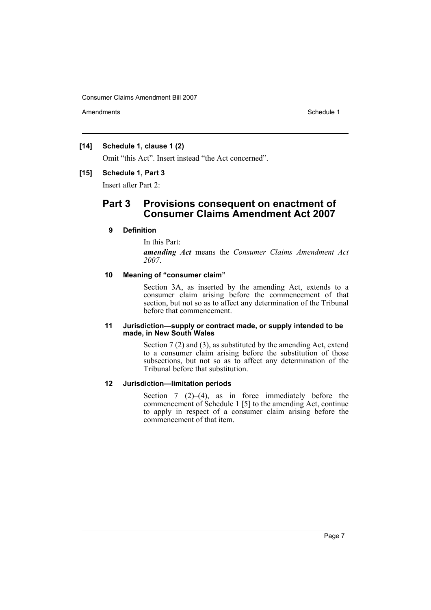Amendments **Schedule 1** and the set of the set of the set of the set of the set of the set of the set of the set of the set of the set of the set of the set of the set of the set of the set of the set of the set of the set

### **[14] Schedule 1, clause 1 (2)**

Omit "this Act". Insert instead "the Act concerned".

#### **[15] Schedule 1, Part 3**

Insert after Part 2:

# **Part 3 Provisions consequent on enactment of Consumer Claims Amendment Act 2007**

### **9 Definition**

In this Part: *amending Act* means the *Consumer Claims Amendment Act 2007*.

## **10 Meaning of "consumer claim"**

Section 3A, as inserted by the amending Act, extends to a consumer claim arising before the commencement of that section, but not so as to affect any determination of the Tribunal before that commencement.

### **11 Jurisdiction—supply or contract made, or supply intended to be made, in New South Wales**

Section 7 (2) and (3), as substituted by the amending Act, extend to a consumer claim arising before the substitution of those subsections, but not so as to affect any determination of the Tribunal before that substitution.

# **12 Jurisdiction—limitation periods**

Section  $7(2)$ –(4), as in force immediately before the commencement of Schedule 1 [5] to the amending Act, continue to apply in respect of a consumer claim arising before the commencement of that item.